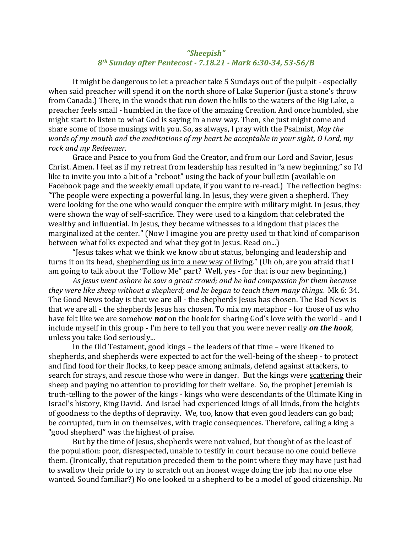## *"Sheepish" 8th Sunday after Pentecost - 7.18.21 - Mark 6:30-34, 53-56/B*

It might be dangerous to let a preacher take 5 Sundays out of the pulpit - especially when said preacher will spend it on the north shore of Lake Superior (just a stone's throw from Canada.) There, in the woods that run down the hills to the waters of the Big Lake, a preacher feels small - humbled in the face of the amazing Creation. And once humbled, she might start to listen to what God is saying in a new way. Then, she just might come and share some of those musings with you. So, as always, I pray with the Psalmist, *May the words of my mouth and the meditations of my heart be acceptable in your sight, O Lord, my rock and my Redeemer.*

Grace and Peace to you from God the Creator, and from our Lord and Savior, Jesus Christ. Amen. I feel as if my retreat from leadership has resulted in "a new beginning," so I'd like to invite you into a bit of a "reboot" using the back of your bulletin (available on Facebook page and the weekly email update, if you want to re-read.) The reflection begins: "The people were expecting a powerful king. In Jesus, they were given a shepherd. They were looking for the one who would conquer the empire with military might. In Jesus, they were shown the way of self-sacrifice. They were used to a kingdom that celebrated the wealthy and influential. In Jesus, they became witnesses to a kingdom that places the marginalized at the center." (Now I imagine you are pretty used to that kind of comparison between what folks expected and what they got in Jesus. Read on...)

"Jesus takes what we think we know about status, belonging and leadership and turns it on its head, shepherding us into a new way of living." (Uh oh, are you afraid that I am going to talk about the "Follow Me" part? Well, yes - for that is our new beginning.)

*As Jesus went ashore he saw a great crowd; and he had compassion for them because they were like sheep without a shepherd; and he began to teach them many things.* Mk 6: 34. The Good News today is that we are all - the shepherds Jesus has chosen. The Bad News is that we are all - the shepherds Jesus has chosen. To mix my metaphor - for those of us who have felt like we are somehow *not* on the hook for sharing God's love with the world - and I include myself in this group - I'm here to tell you that you were never really *on the hook*, unless you take God seriously...

In the Old Testament, good kings – the leaders of that time – were likened to shepherds, and shepherds were expected to act for the well-being of the sheep - to protect and find food for their flocks, to keep peace among animals, defend against attackers, to search for strays, and rescue those who were in danger. But the kings were scattering their sheep and paying no attention to providing for their welfare. So, the prophet Jeremiah is truth-telling to the power of the kings - kings who were descendants of the Ultimate King in Israel's history, King David. And Israel had experienced kings of all kinds, from the heights of goodness to the depths of depravity. We, too, know that even good leaders can go bad; be corrupted, turn in on themselves, with tragic consequences. Therefore, calling a king a "good shepherd" was the highest of praise.

But by the time of Jesus, shepherds were not valued, but thought of as the least of the population: poor, disrespected, unable to testify in court because no one could believe them. (Ironically, that reputation preceded them to the point where they may have just had to swallow their pride to try to scratch out an honest wage doing the job that no one else wanted. Sound familiar?) No one looked to a shepherd to be a model of good citizenship. No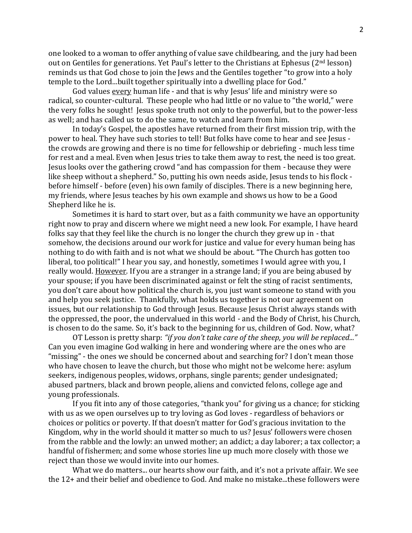one looked to a woman to offer anything of value save childbearing, and the jury had been out on Gentiles for generations. Yet Paul's letter to the Christians at Ephesus (2<sup>nd</sup> lesson) reminds us that God chose to join the Jews and the Gentiles together "to grow into a holy temple to the Lord...built together spiritually into a dwelling place for God."

God values every human life - and that is why Jesus' life and ministry were so radical, so counter-cultural. These people who had little or no value to "the world," were the very folks he sought! Jesus spoke truth not only to the powerful, but to the power-less as well; and has called us to do the same, to watch and learn from him.

In today's Gospel, the apostles have returned from their first mission trip, with the power to heal. They have such stories to tell! But folks have come to hear and see Jesus the crowds are growing and there is no time for fellowship or debriefing - much less time for rest and a meal. Even when Jesus tries to take them away to rest, the need is too great. Jesus looks over the gathering crowd "and has compassion for them - because they were like sheep without a shepherd." So, putting his own needs aside, Jesus tends to his flock before himself - before (even) his own family of disciples. There is a new beginning here, my friends, where Jesus teaches by his own example and shows us how to be a Good Shepherd like he is.

Sometimes it is hard to start over, but as a faith community we have an opportunity right now to pray and discern where we might need a new look. For example, I have heard folks say that they feel like the church is no longer the church they grew up in - that somehow, the decisions around our work for justice and value for every human being has nothing to do with faith and is not what we should be about. "The Church has gotten too liberal, too political!" I hear you say, and honestly, sometimes I would agree with you, I really would. However. If you are a stranger in a strange land; if you are being abused by your spouse; if you have been discriminated against or felt the sting of racist sentiments, you don't care about how political the church is, you just want someone to stand with you and help you seek justice. Thankfully, what holds us together is not our agreement on issues, but our relationship to God through Jesus. Because Jesus Christ always stands with the oppressed, the poor, the undervalued in this world - and the Body of Christ, his Church, is chosen to do the same. So, it's back to the beginning for us, children of God. Now, what?

OT Lesson is pretty sharp: *"if you don't take care of the sheep, you will be replaced..."*  Can you even imagine God walking in here and wondering where are the ones who are "missing" - the ones we should be concerned about and searching for? I don't mean those who have chosen to leave the church, but those who might not be welcome here: asylum seekers, indigenous peoples, widows, orphans, single parents; gender undesignated; abused partners, black and brown people, aliens and convicted felons, college age and young professionals.

If you fit into any of those categories, "thank you" for giving us a chance; for sticking with us as we open ourselves up to try loving as God loves - regardless of behaviors or choices or politics or poverty. If that doesn't matter for God's gracious invitation to the Kingdom, why in the world should it matter so much to us? Jesus' followers were chosen from the rabble and the lowly: an unwed mother; an addict; a day laborer; a tax collector; a handful of fishermen; and some whose stories line up much more closely with those we reject than those we would invite into our homes.

What we do matters... our hearts show our faith, and it's not a private affair. We see the 12+ and their belief and obedience to God. And make no mistake...these followers were